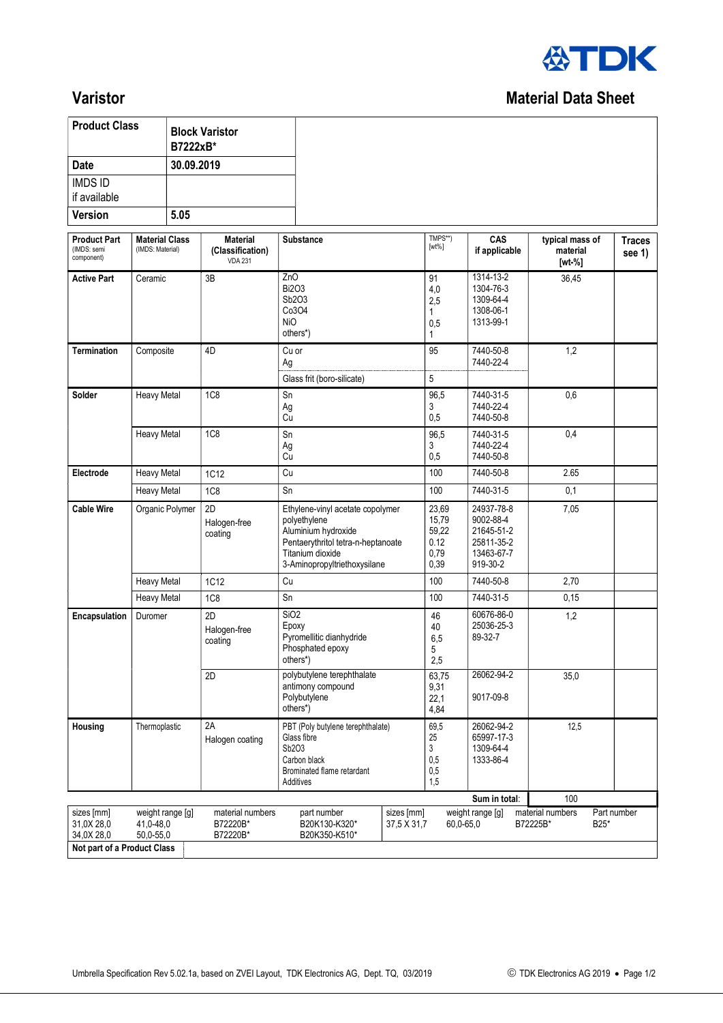

## **Varistor** Material Data Sheet

| <b>Product Class</b>                                                  |                                            | <b>Block Varistor</b><br>B7222xB* |                                                       |                                              |                                                                                                                                                                   |                           |                                                 |                                                                               |                                           |                         |
|-----------------------------------------------------------------------|--------------------------------------------|-----------------------------------|-------------------------------------------------------|----------------------------------------------|-------------------------------------------------------------------------------------------------------------------------------------------------------------------|---------------------------|-------------------------------------------------|-------------------------------------------------------------------------------|-------------------------------------------|-------------------------|
| <b>Date</b>                                                           |                                            | 30.09.2019                        |                                                       |                                              |                                                                                                                                                                   |                           |                                                 |                                                                               |                                           |                         |
| <b>IMDS ID</b><br>if available                                        |                                            |                                   |                                                       |                                              |                                                                                                                                                                   |                           |                                                 |                                                                               |                                           |                         |
| <b>Version</b>                                                        |                                            | 5.05                              |                                                       |                                              |                                                                                                                                                                   |                           |                                                 |                                                                               |                                           |                         |
| <b>Product Part</b><br>(IMDS: semi<br>component)                      | <b>Material Class</b><br>(IMDS: Material)  |                                   | <b>Material</b><br>(Classification)<br><b>VDA 231</b> | <b>Substance</b>                             |                                                                                                                                                                   |                           | TMPS**)<br>$[wt\%]$                             | CAS<br>if applicable                                                          | typical mass of<br>material<br>$[wt - %]$ | <b>Traces</b><br>see 1) |
| <b>Active Part</b>                                                    | Ceramic                                    |                                   | 3B                                                    |                                              | ZnO<br><b>Bi2O3</b><br>Sb2O3<br>Co3O4<br><b>NiO</b><br>others*)                                                                                                   |                           | 91<br>4,0<br>2,5<br>1<br>0,5<br>1               | $1314 - 13 - 2$<br>1304-76-3<br>1309-64-4<br>1308-06-1<br>1313-99-1           | 36,45                                     |                         |
| <b>Termination</b>                                                    | Composite                                  |                                   | 4D                                                    | Ag                                           | Cu or                                                                                                                                                             |                           | 95                                              | 7440-50-8<br>7440-22-4                                                        | 1,2                                       |                         |
| Solder                                                                | <b>Heavy Metal</b>                         |                                   | <b>1C8</b>                                            | Glass frit (boro-silicate)<br>Sn<br>Ag<br>Cu |                                                                                                                                                                   |                           | 5<br>96,5<br>3<br>0,5                           | 7440-31-5<br>7440-22-4<br>7440-50-8                                           | 0,6                                       |                         |
|                                                                       | <b>Heavy Metal</b>                         |                                   | <b>1C8</b>                                            | Sn<br>Ag<br>Cu                               |                                                                                                                                                                   |                           | 96,5<br>3<br>0,5                                | 7440-31-5<br>7440-22-4<br>7440-50-8                                           | 0,4                                       |                         |
| Electrode                                                             | <b>Heavy Metal</b>                         |                                   | 1C12                                                  | Cu                                           |                                                                                                                                                                   |                           | 100                                             | 7440-50-8                                                                     | 2.65                                      |                         |
|                                                                       | <b>Heavy Metal</b>                         |                                   | 1C8                                                   | Sn                                           |                                                                                                                                                                   |                           | 100                                             | 7440-31-5                                                                     | 0,1                                       |                         |
| <b>Cable Wire</b>                                                     | Organic Polymer                            |                                   | 2D<br>Halogen-free<br>coating                         |                                              | Ethylene-vinyl acetate copolymer<br>polyethylene<br>Aluminium hydroxide<br>Pentaerythritol tetra-n-heptanoate<br>Titanium dioxide<br>3-Aminopropyltriethoxysilane |                           | 23,69<br>15,79<br>59,22<br>0.12<br>0,79<br>0,39 | 24937-78-8<br>9002-88-4<br>21645-51-2<br>25811-35-2<br>13463-67-7<br>919-30-2 | 7,05                                      |                         |
| <b>Heavy Metal</b>                                                    |                                            |                                   | <b>1C12</b>                                           | Cu                                           |                                                                                                                                                                   |                           | 100                                             | 7440-50-8                                                                     | 2,70                                      |                         |
|                                                                       | <b>Heavy Metal</b>                         |                                   | <b>1C8</b>                                            | Sn                                           |                                                                                                                                                                   |                           | 100                                             | 7440-31-5                                                                     | 0,15                                      |                         |
| <b>Encapsulation</b>                                                  | Duromer                                    |                                   | 2D<br>Halogen-free<br>coating                         | SiO <sub>2</sub><br>Epoxy<br>others*)        | Pyromellitic dianhydride<br>Phosphated epoxy                                                                                                                      |                           | 46<br>40<br>6,5<br>5<br>2,5                     | 60676-86-0<br>25036-25-3<br>89-32-7                                           | 1,2                                       |                         |
|                                                                       |                                            |                                   | 2D                                                    | others*)                                     | polybutylene terephthalate<br>antimony compound<br>Polybutylene                                                                                                   |                           | 63,75<br>9,31<br>22,1<br>4,84                   | 26062-94-2<br>9017-09-8                                                       | 35,0                                      |                         |
| Housing                                                               | Thermoplastic                              |                                   | 2A<br>Halogen coating                                 | Sb2O3                                        | PBT (Poly butylene terephthalate)<br>Glass fibre<br>Carbon black<br>Brominated flame retardant<br>Additives                                                       |                           | 69,5<br>25<br>3<br>0,5<br>0,5<br>1,5            | 26062-94-2<br>65997-17-3<br>1309-64-4<br>1333-86-4                            | 12,5                                      |                         |
|                                                                       |                                            |                                   |                                                       |                                              |                                                                                                                                                                   |                           |                                                 | Sum in total:                                                                 | 100                                       |                         |
| sizes [mm]<br>31,0X 28,0<br>34,0X 28,0<br>Not part of a Product Class | weight range [g]<br>41,0-48,0<br>50,0-55,0 |                                   | material numbers<br>B72220B*<br>B72220B*              |                                              | part number<br>B20K130-K320*<br>B20K350-K510*                                                                                                                     | sizes [mm]<br>37,5 X 31,7 | 60,0-65,0                                       | weight range [g]                                                              | material numbers<br>B72225B*<br>B25*      | Part number             |